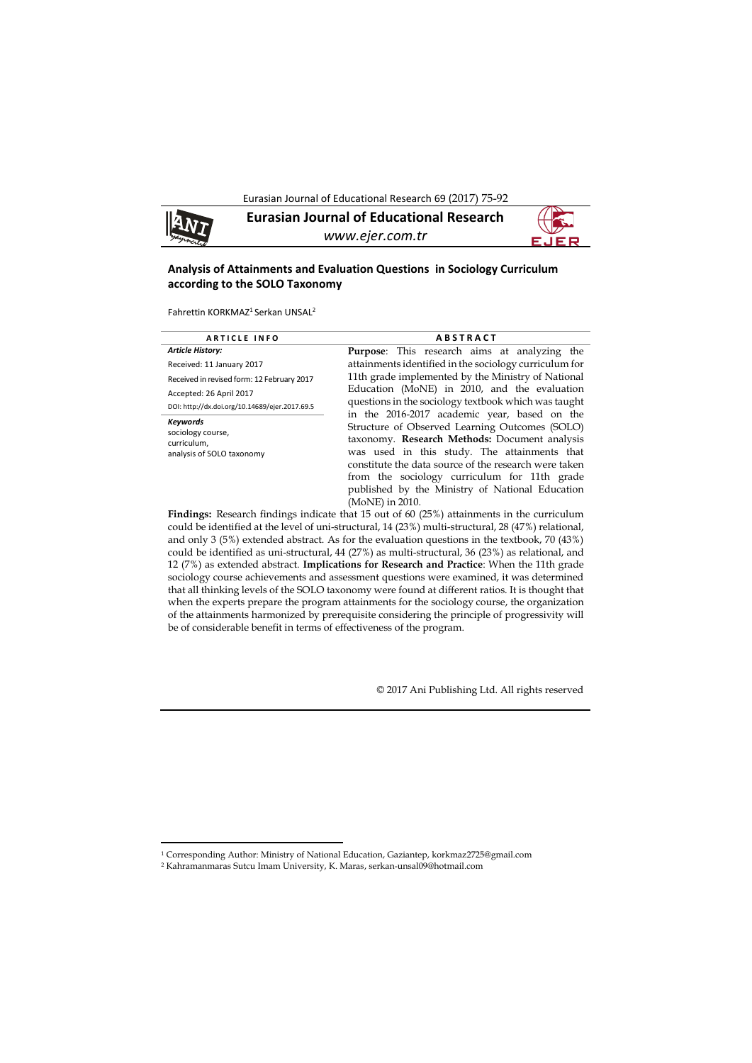Eurasian Journal of Educational Research 69 (2017) 75-92



1

**Eurasian Journal of Educational Research** *www.ejer.com.tr*



# **Analysis of Attainments and Evaluation Questions in Sociology Curriculum according to the SOLO Taxonomy**

Fahrettin KORKMAZ<sup>1</sup> Serkan UNSAL<sup>2</sup>

| <b>ARTICLE INFO</b>                                                              | <b>ABSTRACT</b>                                                                                                                                                                                                                                                                                                                                                                |  |  |  |  |  |
|----------------------------------------------------------------------------------|--------------------------------------------------------------------------------------------------------------------------------------------------------------------------------------------------------------------------------------------------------------------------------------------------------------------------------------------------------------------------------|--|--|--|--|--|
| <b>Article History:</b>                                                          | <b>Purpose:</b> This research aims at analyzing the                                                                                                                                                                                                                                                                                                                            |  |  |  |  |  |
| Received: 11 January 2017                                                        | attainments identified in the sociology curriculum for                                                                                                                                                                                                                                                                                                                         |  |  |  |  |  |
| Received in revised form: 12 February 2017                                       | 11th grade implemented by the Ministry of National                                                                                                                                                                                                                                                                                                                             |  |  |  |  |  |
| Accepted: 26 April 2017                                                          | Education (MoNE) in 2010, and the evaluation                                                                                                                                                                                                                                                                                                                                   |  |  |  |  |  |
| DOI: http://dx.doi.org/10.14689/ejer.2017.69.5                                   | questions in the sociology textbook which was taught                                                                                                                                                                                                                                                                                                                           |  |  |  |  |  |
| <b>Keywords</b><br>sociology course,<br>curriculum,<br>analysis of SOLO taxonomy | in the 2016-2017 academic year, based on the<br>Structure of Observed Learning Outcomes (SOLO)<br>taxonomy. Research Methods: Document analysis<br>was used in this study. The attainments that<br>constitute the data source of the research were taken<br>from the sociology curriculum for 11th grade<br>published by the Ministry of National Education<br>(MoNE) in 2010. |  |  |  |  |  |

**Findings:** Research findings indicate that 15 out of 60 (25%) attainments in the curriculum could be identified at the level of uni-structural, 14 (23%) multi-structural, 28 (47%) relational, and only 3 (5%) extended abstract. As for the evaluation questions in the textbook, 70 (43%) could be identified as uni-structural, 44 (27%) as multi-structural, 36 (23%) as relational, and 12 (7%) as extended abstract. **Implications for Research and Practice**: When the 11th grade sociology course achievements and assessment questions were examined, it was determined that all thinking levels of the SOLO taxonomy were found at different ratios. It is thought that when the experts prepare the program attainments for the sociology course, the organization of the attainments harmonized by prerequisite considering the principle of progressivity will be of considerable benefit in terms of effectiveness of the program.

© 2017 Ani Publishing Ltd. All rights reserved

<sup>1</sup> Corresponding Author: Ministry of National Education, Gaziantep, korkmaz2725@gmail.com

<sup>2</sup> Kahramanmaras Sutcu Imam University, K. Maras, serkan-unsal09@hotmail.com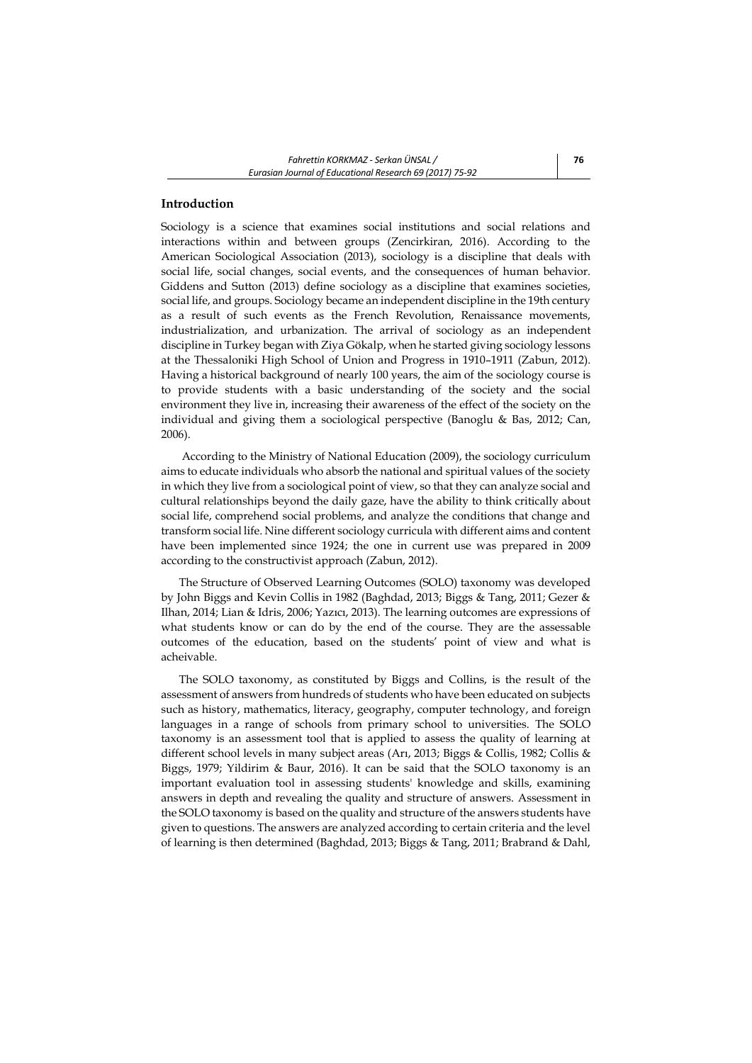## **Introduction**

Sociology is a science that examines social institutions and social relations and interactions within and between groups (Zencirkiran, 2016). According to the American Sociological Association (2013), sociology is a discipline that deals with social life, social changes, social events, and the consequences of human behavior. Giddens and Sutton (2013) define sociology as a discipline that examines societies, social life, and groups. Sociology became an independent discipline in the 19th century as a result of such events as the French Revolution, Renaissance movements, industrialization, and urbanization. The arrival of sociology as an independent discipline in Turkey began with Ziya Gökalp, when he started giving sociology lessons at the Thessaloniki High School of Union and Progress in 1910–1911 (Zabun, 2012). Having a historical background of nearly 100 years, the aim of the sociology course is to provide students with a basic understanding of the society and the social environment they live in, increasing their awareness of the effect of the society on the individual and giving them a sociological perspective (Banoglu & Bas, 2012; Can, 2006).

According to the Ministry of National Education (2009), the sociology curriculum aims to educate individuals who absorb the national and spiritual values of the society in which they live from a sociological point of view, so that they can analyze social and cultural relationships beyond the daily gaze, have the ability to think critically about social life, comprehend social problems, and analyze the conditions that change and transform social life. Nine different sociology curricula with different aims and content have been implemented since 1924; the one in current use was prepared in 2009 according to the constructivist approach (Zabun, 2012).

The Structure of Observed Learning Outcomes (SOLO) taxonomy was developed by John Biggs and Kevin Collis in 1982 (Baghdad, 2013; Biggs & Tang, 2011; Gezer & Ilhan, 2014; Lian & Idris, 2006; Yazıcı, 2013). The learning outcomes are expressions of what students know or can do by the end of the course. They are the assessable outcomes of the education, based on the students' point of view and what is acheivable.

The SOLO taxonomy, as constituted by Biggs and Collins, is the result of the assessment of answers from hundreds of students who have been educated on subjects such as history, mathematics, literacy, geography, computer technology, and foreign languages in a range of schools from primary school to universities. The SOLO taxonomy is an assessment tool that is applied to assess the quality of learning at different school levels in many subject areas (Arı, 2013; Biggs & Collis, 1982; Collis & Biggs, 1979; Yildirim & Baur, 2016). It can be said that the SOLO taxonomy is an important evaluation tool in assessing students' knowledge and skills, examining answers in depth and revealing the quality and structure of answers. Assessment in the SOLO taxonomy is based on the quality and structure of the answers students have given to questions. The answers are analyzed according to certain criteria and the level of learning is then determined (Baghdad, 2013; Biggs & Tang, 2011; Brabrand & Dahl,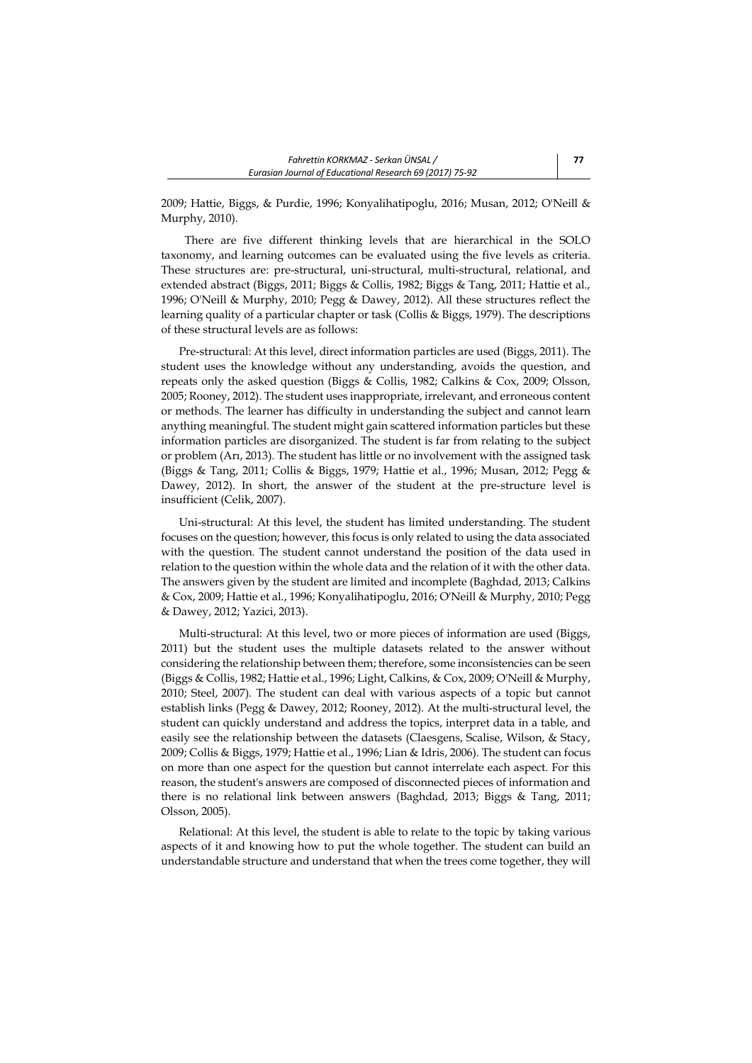2009; Hattie, Biggs, & Purdie, 1996; Konyalihatipoglu, 2016; Musan, 2012; O'Neill & Murphy, 2010).

 There are five different thinking levels that are hierarchical in the SOLO taxonomy, and learning outcomes can be evaluated using the five levels as criteria. These structures are: pre-structural, uni-structural, multi-structural, relational, and extended abstract (Biggs, 2011; Biggs & Collis, 1982; Biggs & Tang, 2011; Hattie et al., 1996; O'Neill & Murphy, 2010; Pegg & Dawey, 2012). All these structures reflect the learning quality of a particular chapter or task (Collis & Biggs, 1979). The descriptions of these structural levels are as follows:

Pre-structural: At this level, direct information particles are used (Biggs, 2011). The student uses the knowledge without any understanding, avoids the question, and repeats only the asked question (Biggs & Collis, 1982; Calkins & Cox, 2009; Olsson, 2005; Rooney, 2012). The student uses inappropriate, irrelevant, and erroneous content or methods. The learner has difficulty in understanding the subject and cannot learn anything meaningful. The student might gain scattered information particles but these information particles are disorganized. The student is far from relating to the subject or problem (Arı, 2013). The student has little or no involvement with the assigned task (Biggs & Tang, 2011; Collis & Biggs, 1979; Hattie et al., 1996; Musan, 2012; Pegg & Dawey, 2012). In short, the answer of the student at the pre-structure level is insufficient (Celik, 2007).

Uni-structural: At this level, the student has limited understanding. The student focuses on the question; however, this focus is only related to using the data associated with the question. The student cannot understand the position of the data used in relation to the question within the whole data and the relation of it with the other data. The answers given by the student are limited and incomplete (Baghdad, 2013; Calkins & Cox, 2009; Hattie et al., 1996; Konyalihatipoglu, 2016; O'Neill & Murphy, 2010; Pegg & Dawey, 2012; Yazici, 2013).

Multi-structural: At this level, two or more pieces of information are used (Biggs, 2011) but the student uses the multiple datasets related to the answer without considering the relationship between them; therefore, some inconsistencies can be seen (Biggs & Collis, 1982; Hattie et al., 1996; Light, Calkins, & Cox, 2009; O'Neill & Murphy, 2010; Steel, 2007). The student can deal with various aspects of a topic but cannot establish links (Pegg & Dawey, 2012; Rooney, 2012). At the multi-structural level, the student can quickly understand and address the topics, interpret data in a table, and easily see the relationship between the datasets (Claesgens, Scalise, Wilson, & Stacy, 2009; Collis & Biggs, 1979; Hattie et al., 1996; Lian & Idris, 2006). The student can focus on more than one aspect for the question but cannot interrelate each aspect. For this reason, the student's answers are composed of disconnected pieces of information and there is no relational link between answers (Baghdad, 2013; Biggs & Tang, 2011; Olsson, 2005).

Relational: At this level, the student is able to relate to the topic by taking various aspects of it and knowing how to put the whole together. The student can build an understandable structure and understand that when the trees come together, they will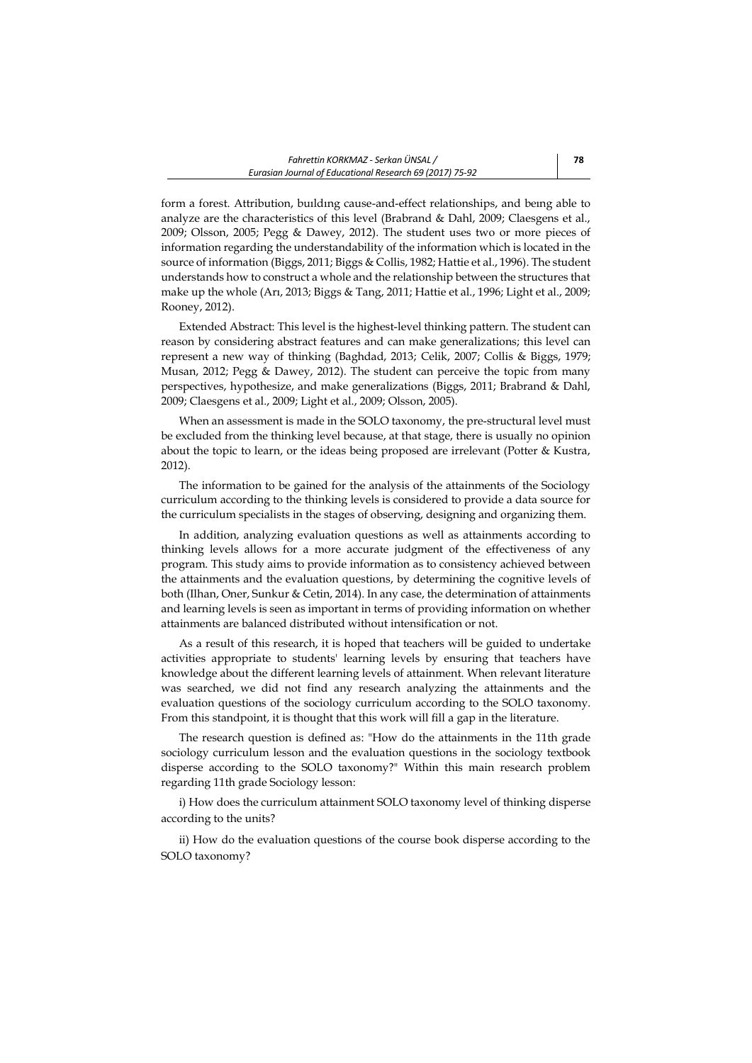form a forest. Attribution, buıldıng cause-and-effect relationships, and beıng able to analyze are the characteristics of this level (Brabrand & Dahl, 2009; Claesgens et al., 2009; Olsson, 2005; Pegg & Dawey, 2012). The student uses two or more pieces of information regarding the understandability of the information which is located in the source of information (Biggs, 2011; Biggs & Collis, 1982; Hattie et al., 1996). The student understands how to construct a whole and the relationship between the structures that make up the whole (Arı, 2013; Biggs & Tang, 2011; Hattie et al., 1996; Light et al., 2009; Rooney, 2012).

Extended Abstract: This level is the highest-level thinking pattern. The student can reason by considering abstract features and can make generalizations; this level can represent a new way of thinking (Baghdad, 2013; Celik, 2007; Collis & Biggs, 1979; Musan, 2012; Pegg & Dawey, 2012). The student can perceive the topic from many perspectives, hypothesize, and make generalizations (Biggs, 2011; Brabrand & Dahl, 2009; Claesgens et al., 2009; Light et al., 2009; Olsson, 2005).

When an assessment is made in the SOLO taxonomy, the pre-structural level must be excluded from the thinking level because, at that stage, there is usually no opinion about the topic to learn, or the ideas being proposed are irrelevant (Potter & Kustra, 2012).

The information to be gained for the analysis of the attainments of the Sociology curriculum according to the thinking levels is considered to provide a data source for the curriculum specialists in the stages of observing, designing and organizing them.

In addition, analyzing evaluation questions as well as attainments according to thinking levels allows for a more accurate judgment of the effectiveness of any program. This study aims to provide information as to consistency achieved between the attainments and the evaluation questions, by determining the cognitive levels of both (Ilhan, Oner, Sunkur & Cetin, 2014). In any case, the determination of attainments and learning levels is seen as important in terms of providing information on whether attainments are balanced distributed without intensification or not.

As a result of this research, it is hoped that teachers will be guided to undertake activities appropriate to students' learning levels by ensuring that teachers have knowledge about the different learning levels of attainment. When relevant literature was searched, we did not find any research analyzing the attainments and the evaluation questions of the sociology curriculum according to the SOLO taxonomy. From this standpoint, it is thought that this work will fill a gap in the literature.

The research question is defined as: "How do the attainments in the 11th grade sociology curriculum lesson and the evaluation questions in the sociology textbook disperse according to the SOLO taxonomy?" Within this main research problem regarding 11th grade Sociology lesson:

i) How does the curriculum attainment SOLO taxonomy level of thinking disperse according to the units?

ii) How do the evaluation questions of the course book disperse according to the SOLO taxonomy?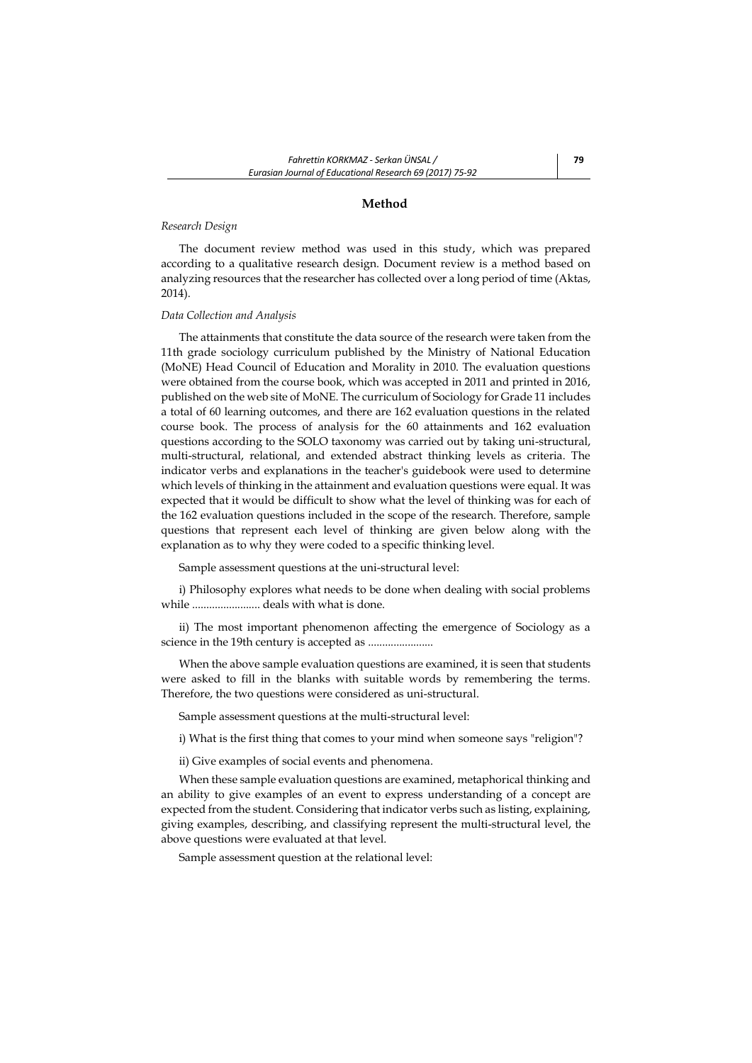### **Method**

### *Research Design*

The document review method was used in this study, which was prepared according to a qualitative research design. Document review is a method based on analyzing resources that the researcher has collected over a long period of time (Aktas, 2014).

### *Data Collection and Analysis*

The attainments that constitute the data source of the research were taken from the 11th grade sociology curriculum published by the Ministry of National Education (MoNE) Head Council of Education and Morality in 2010. The evaluation questions were obtained from the course book, which was accepted in 2011 and printed in 2016, published on the web site of MoNE. The curriculum of Sociology for Grade 11 includes a total of 60 learning outcomes, and there are 162 evaluation questions in the related course book. The process of analysis for the 60 attainments and 162 evaluation questions according to the SOLO taxonomy was carried out by taking uni-structural, multi-structural, relational, and extended abstract thinking levels as criteria. The indicator verbs and explanations in the teacher's guidebook were used to determine which levels of thinking in the attainment and evaluation questions were equal. It was expected that it would be difficult to show what the level of thinking was for each of the 162 evaluation questions included in the scope of the research. Therefore, sample questions that represent each level of thinking are given below along with the explanation as to why they were coded to a specific thinking level.

Sample assessment questions at the uni-structural level:

i) Philosophy explores what needs to be done when dealing with social problems while ........................ deals with what is done.

ii) The most important phenomenon affecting the emergence of Sociology as a science in the 19th century is accepted as .......................

When the above sample evaluation questions are examined, it is seen that students were asked to fill in the blanks with suitable words by remembering the terms. Therefore, the two questions were considered as uni-structural.

Sample assessment questions at the multi-structural level:

i) What is the first thing that comes to your mind when someone says "religion"?

ii) Give examples of social events and phenomena.

When these sample evaluation questions are examined, metaphorical thinking and an ability to give examples of an event to express understanding of a concept are expected from the student. Considering that indicator verbs such as listing, explaining, giving examples, describing, and classifying represent the multi-structural level, the above questions were evaluated at that level.

Sample assessment question at the relational level: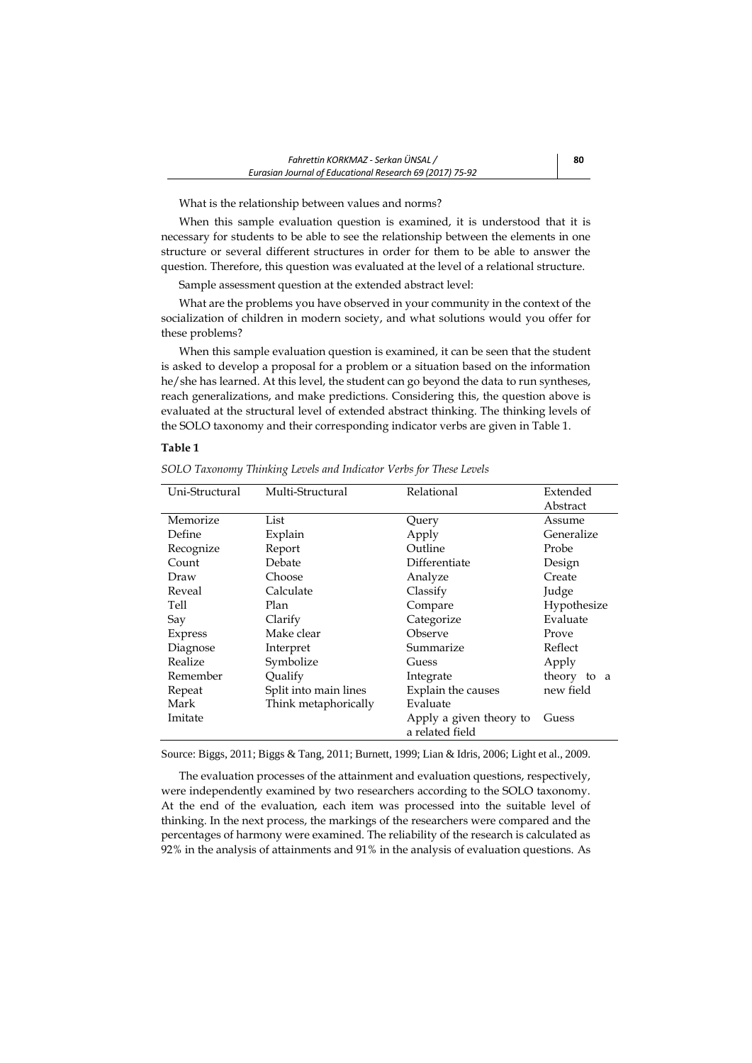What is the relationship between values and norms?

When this sample evaluation question is examined, it is understood that it is necessary for students to be able to see the relationship between the elements in one structure or several different structures in order for them to be able to answer the question. Therefore, this question was evaluated at the level of a relational structure.

Sample assessment question at the extended abstract level:

What are the problems you have observed in your community in the context of the socialization of children in modern society, and what solutions would you offer for these problems?

When this sample evaluation question is examined, it can be seen that the student is asked to develop a proposal for a problem or a situation based on the information he/she has learned. At this level, the student can go beyond the data to run syntheses, reach generalizations, and make predictions. Considering this, the question above is evaluated at the structural level of extended abstract thinking. The thinking levels of the SOLO taxonomy and their corresponding indicator verbs are given in Table 1.

### **Table 1**

| Uni-Structural | Relational<br>Multi-Structural |                         | Extended    |  |
|----------------|--------------------------------|-------------------------|-------------|--|
|                |                                |                         | Abstract    |  |
| Memorize       | List                           | Query                   | Assume      |  |
| Define         | Explain                        | Apply                   | Generalize  |  |
| Recognize      | Report                         | Outline                 | Probe       |  |
| Count          | Debate                         | Differentiate           | Design      |  |
| Draw           | Choose                         | Analyze                 | Create      |  |
| Reveal         | Calculate                      | Classify                | Judge       |  |
| Tell           | Plan                           | Compare                 | Hypothesize |  |
| Say            | Clarify                        | Categorize              | Evaluate    |  |
| Express        | Make clear                     | Observe                 | Prove       |  |
| Diagnose       | Interpret                      | Summarize               | Reflect     |  |
| Realize        | Symbolize                      | Guess                   | Apply       |  |
| Remember       | Qualify                        | Integrate               | theory to a |  |
| Repeat         | Split into main lines          | Explain the causes      | new field   |  |
| Mark           | Think metaphorically           | Evaluate                |             |  |
| Imitate        |                                | Apply a given theory to | Guess       |  |
|                |                                | a related field         |             |  |

*SOLO Taxonomy Thinking Levels and Indicator Verbs for These Levels*

Source: Biggs, 2011; Biggs & Tang, 2011; Burnett, 1999; Lian & Idris, 2006; Light et al., 2009.

The evaluation processes of the attainment and evaluation questions, respectively, were independently examined by two researchers according to the SOLO taxonomy. At the end of the evaluation, each item was processed into the suitable level of thinking. In the next process, the markings of the researchers were compared and the percentages of harmony were examined. The reliability of the research is calculated as 92% in the analysis of attainments and 91% in the analysis of evaluation questions. As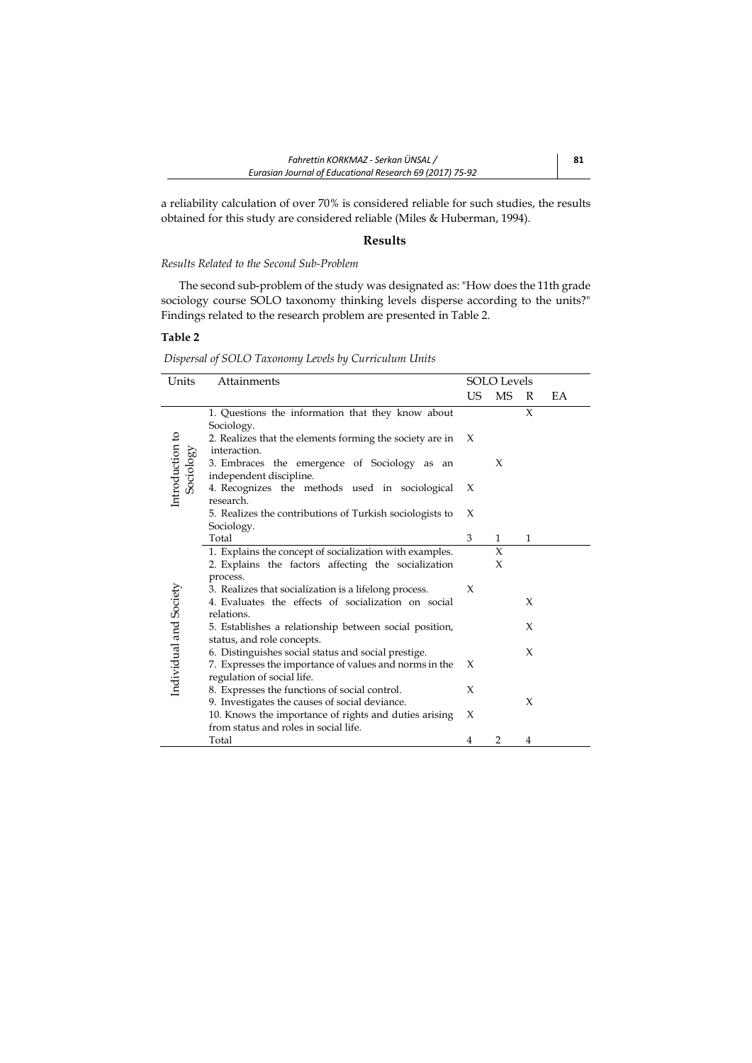a reliability calculation of over 70% is considered reliable for such studies, the results obtained for this study are considered reliable (Miles & Huberman, 1994).

## **Results**

## *Results Related to the Second Sub-Problem*

The second sub-problem of the study was designated as: "How does the 11th grade sociology course SOLO taxonomy thinking levels disperse according to the units?" Findings related to the research problem are presented in Table 2.

# **Table 2**

l.

*Dispersal of SOLO Taxonomy Levels by Curriculum Units*

| Units                        | Attainments                                                                                                   | <b>SOLO</b> Levels |                |   |    |
|------------------------------|---------------------------------------------------------------------------------------------------------------|--------------------|----------------|---|----|
|                              |                                                                                                               | <b>US</b>          | <b>MS</b>      | R | EA |
|                              | 1. Questions the information that they know about                                                             |                    |                | X |    |
|                              | Sociology.                                                                                                    |                    |                |   |    |
|                              | 2. Realizes that the elements forming the society are in                                                      | X                  |                |   |    |
|                              | interaction.                                                                                                  |                    |                |   |    |
| Introduction to<br>Sociology | 3. Embraces the emergence of Sociology as an                                                                  |                    | X              |   |    |
|                              | independent discipline.<br>4. Recognizes the methods used in sociological                                     | X                  |                |   |    |
|                              | research.                                                                                                     |                    |                |   |    |
|                              | 5. Realizes the contributions of Turkish sociologists to                                                      | X                  |                |   |    |
|                              | Sociology.                                                                                                    |                    |                |   |    |
|                              | Total                                                                                                         | 3                  | $\mathbf{1}$   | 1 |    |
|                              | 1. Explains the concept of socialization with examples.                                                       |                    | X              |   |    |
|                              | 2. Explains the factors affecting the socialization                                                           |                    | X              |   |    |
|                              | process.                                                                                                      |                    |                |   |    |
|                              | 3. Realizes that socialization is a lifelong process.                                                         | X                  |                |   |    |
|                              | 4. Evaluates the effects of socialization on social                                                           |                    |                | X |    |
| Individual and Society       | relations.                                                                                                    |                    |                |   |    |
|                              | 5. Establishes a relationship between social position,                                                        |                    |                | X |    |
|                              | status, and role concepts.                                                                                    |                    |                | X |    |
|                              | 6. Distinguishes social status and social prestige.<br>7. Expresses the importance of values and norms in the | X                  |                |   |    |
|                              | regulation of social life.                                                                                    |                    |                |   |    |
|                              | 8. Expresses the functions of social control.                                                                 | X                  |                |   |    |
|                              | 9. Investigates the causes of social deviance.                                                                |                    |                | X |    |
|                              | 10. Knows the importance of rights and duties arising                                                         | X                  |                |   |    |
|                              | from status and roles in social life.                                                                         |                    |                |   |    |
|                              | Total                                                                                                         | 4                  | $\overline{2}$ | 4 |    |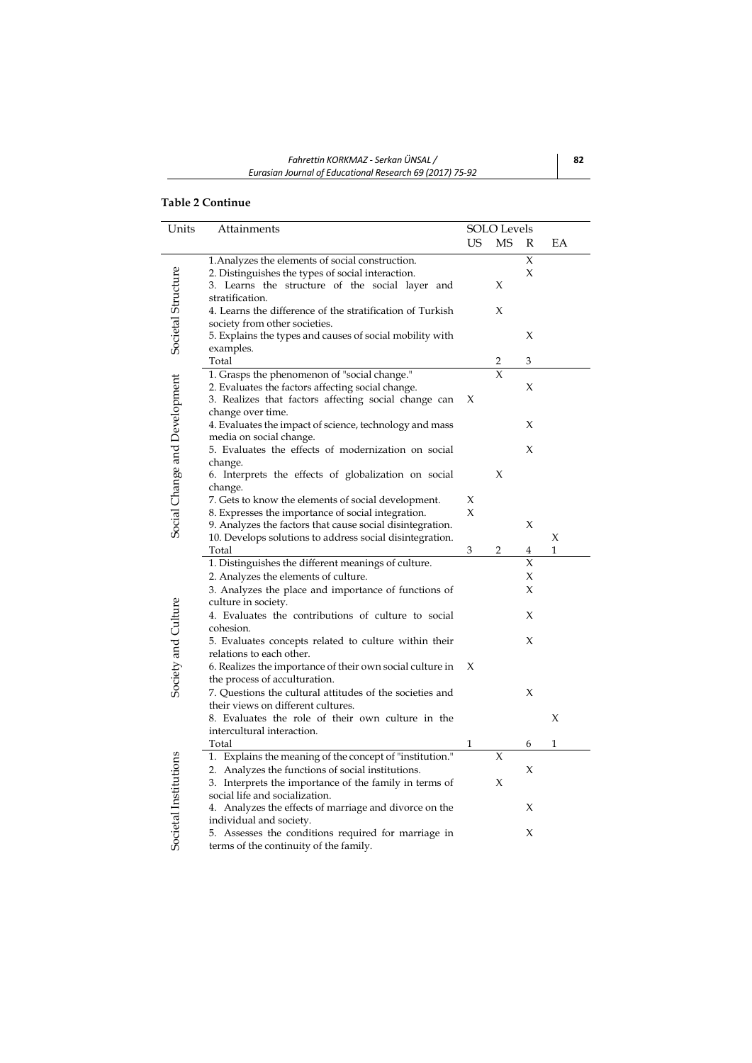# **Table 2 Continue**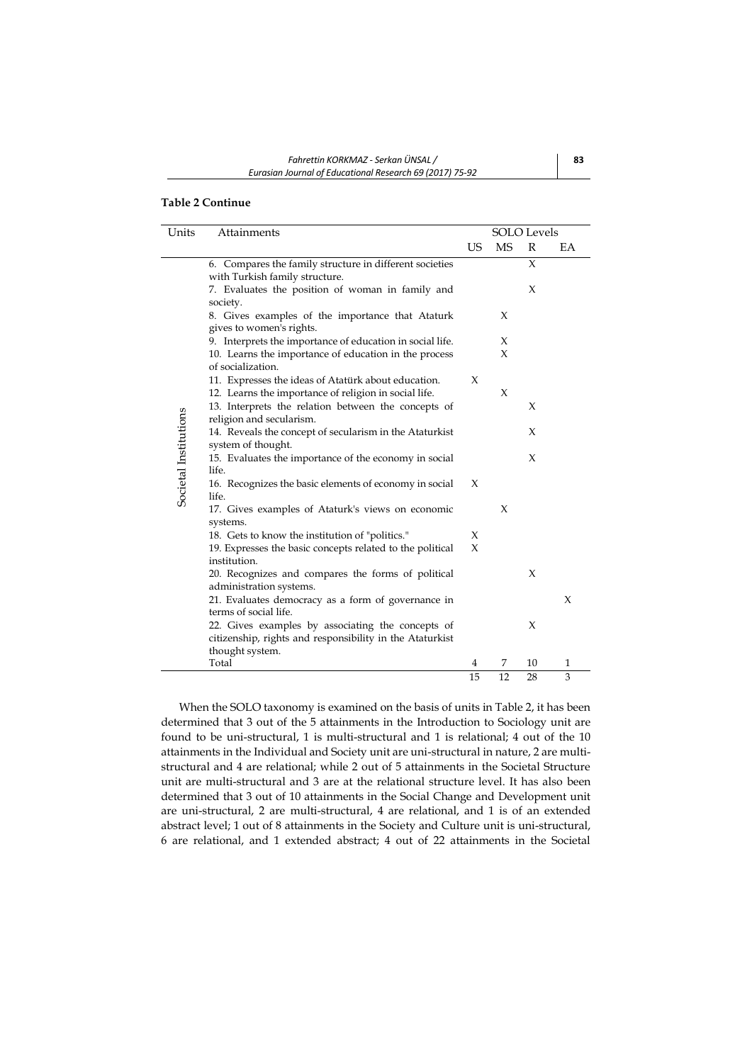# **Table 2 Continue**

| Units                 | Attainments                                                                               | <b>SOLO</b> Levels |           |        |    |
|-----------------------|-------------------------------------------------------------------------------------------|--------------------|-----------|--------|----|
|                       |                                                                                           | US                 | <b>MS</b> | R      | EA |
|                       | 6. Compares the family structure in different societies<br>with Turkish family structure. |                    |           | $\chi$ |    |
|                       | 7. Evaluates the position of woman in family and<br>society.                              |                    |           | X      |    |
|                       | 8. Gives examples of the importance that Ataturk<br>gives to women's rights.              |                    | X         |        |    |
|                       | 9. Interprets the importance of education in social life.                                 |                    | X         |        |    |
|                       | 10. Learns the importance of education in the process                                     |                    | $\chi$    |        |    |
|                       | of socialization.                                                                         |                    |           |        |    |
|                       | 11. Expresses the ideas of Atatürk about education.                                       | X                  |           |        |    |
|                       | 12. Learns the importance of religion in social life.                                     |                    | X         |        |    |
| Societal Institutions | 13. Interprets the relation between the concepts of<br>religion and secularism.           |                    |           | X      |    |
|                       | 14. Reveals the concept of secularism in the Ataturkist<br>system of thought.             |                    |           | X      |    |
|                       | 15. Evaluates the importance of the economy in social<br>life.                            |                    |           | X      |    |
|                       | 16. Recognizes the basic elements of economy in social<br>life.                           | X                  |           |        |    |
|                       | 17. Gives examples of Ataturk's views on economic<br>systems.                             |                    | X         |        |    |
|                       | 18. Gets to know the institution of "politics."                                           | X                  |           |        |    |
|                       | 19. Expresses the basic concepts related to the political                                 | X                  |           |        |    |
|                       | institution.                                                                              |                    |           |        |    |
|                       | 20. Recognizes and compares the forms of political                                        |                    |           | X      |    |
|                       | administration systems.                                                                   |                    |           |        |    |
|                       | 21. Evaluates democracy as a form of governance in                                        |                    |           |        | X  |
|                       | terms of social life.                                                                     |                    |           |        |    |
|                       | 22. Gives examples by associating the concepts of                                         |                    |           | X      |    |
|                       | citizenship, rights and responsibility in the Ataturkist                                  |                    |           |        |    |
|                       | thought system.                                                                           |                    |           |        |    |
|                       | Total                                                                                     | 4                  | 7         | 10     | 1  |
|                       |                                                                                           | 15                 | 12        | 28     | 3  |

When the SOLO taxonomy is examined on the basis of units in Table 2, it has been determined that 3 out of the 5 attainments in the Introduction to Sociology unit are found to be uni-structural, 1 is multi-structural and 1 is relational; 4 out of the 10 attainments in the Individual and Society unit are uni-structural in nature, 2 are multistructural and 4 are relational; while 2 out of 5 attainments in the Societal Structure unit are multi-structural and 3 are at the relational structure level. It has also been determined that 3 out of 10 attainments in the Social Change and Development unit are uni-structural, 2 are multi-structural, 4 are relational, and 1 is of an extended abstract level; 1 out of 8 attainments in the Society and Culture unit is uni-structural, 6 are relational, and 1 extended abstract; 4 out of 22 attainments in the Societal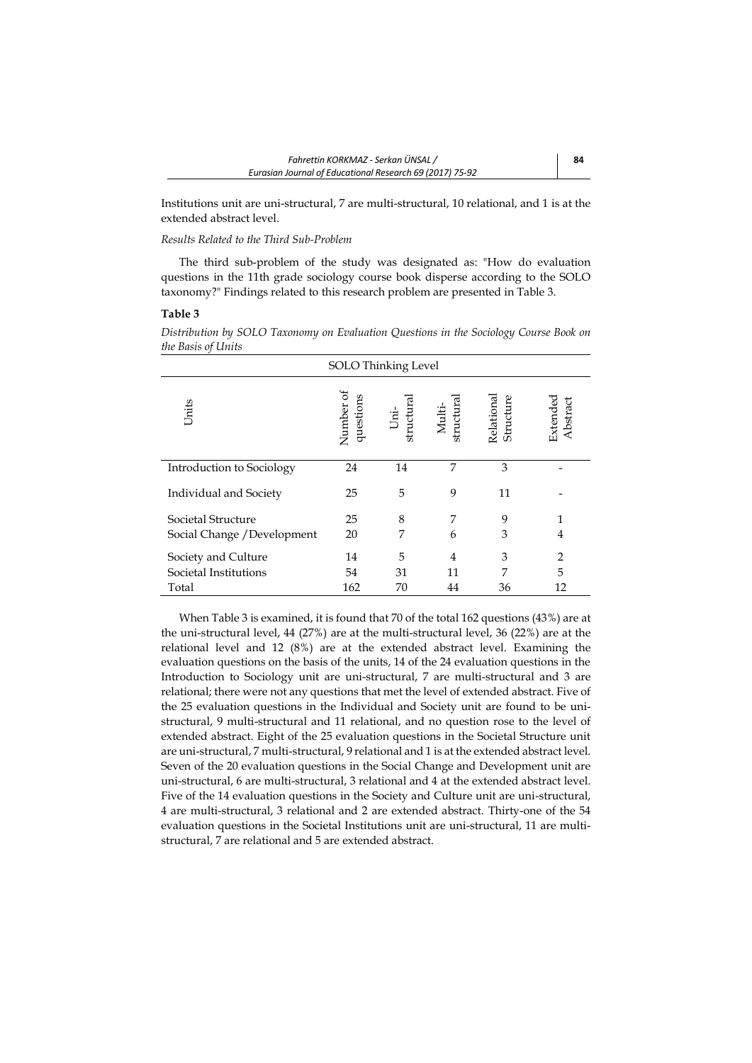Institutions unit are uni-structural, 7 are multi-structural, 10 relational, and 1 is at the extended abstract level.

## *Results Related to the Third Sub-Problem*

The third sub-problem of the study was designated as: "How do evaluation questions in the 11th grade sociology course book disperse according to the SOLO taxonomy?" Findings related to this research problem are presented in Table 3.

## **Table 3**

*Distribution by SOLO Taxonomy on Evaluation Questions in the Sociology Course Book on the Basis of Units*

| ╯<br>SOLO Thinking Level    |                        |                             |                      |                         |                      |
|-----------------------------|------------------------|-----------------------------|----------------------|-------------------------|----------------------|
| Units                       | Number of<br>questions | structura<br>$\overline{a}$ | Multi-<br>structural | Relational<br>Structure | Extended<br>Abstract |
| Introduction to Sociology   | 24                     | 14                          | 7                    | 3                       |                      |
| Individual and Society      | 25                     | 5                           | 9                    | 11                      |                      |
| Societal Structure          | 25                     | 8                           | 7                    | 9                       | 1                    |
| Social Change / Development | 20                     | 7                           | 6                    | 3                       | 4                    |
| Society and Culture         | 14                     | 5                           | 4                    | 3                       | $\overline{2}$       |
| Societal Institutions       | 54                     | 31                          | 11                   | 7                       | 5                    |
| Total                       | 162                    | 70                          | 44                   | 36                      | 12                   |

When Table 3 is examined, it is found that 70 of the total 162 questions (43%) are at the uni-structural level, 44 (27%) are at the multi-structural level, 36 (22%) are at the relational level and 12 (8%) are at the extended abstract level. Examining the evaluation questions on the basis of the units, 14 of the 24 evaluation questions in the Introduction to Sociology unit are uni-structural, 7 are multi-structural and 3 are relational; there were not any questions that met the level of extended abstract. Five of the 25 evaluation questions in the Individual and Society unit are found to be unistructural, 9 multi-structural and 11 relational, and no question rose to the level of extended abstract. Eight of the 25 evaluation questions in the Societal Structure unit are uni-structural, 7 multi-structural, 9 relational and 1 is at the extended abstract level. Seven of the 20 evaluation questions in the Social Change and Development unit are uni-structural, 6 are multi-structural, 3 relational and 4 at the extended abstract level. Five of the 14 evaluation questions in the Society and Culture unit are uni-structural, 4 are multi-structural, 3 relational and 2 are extended abstract. Thirty-one of the 54 evaluation questions in the Societal Institutions unit are uni-structural, 11 are multistructural, 7 are relational and 5 are extended abstract.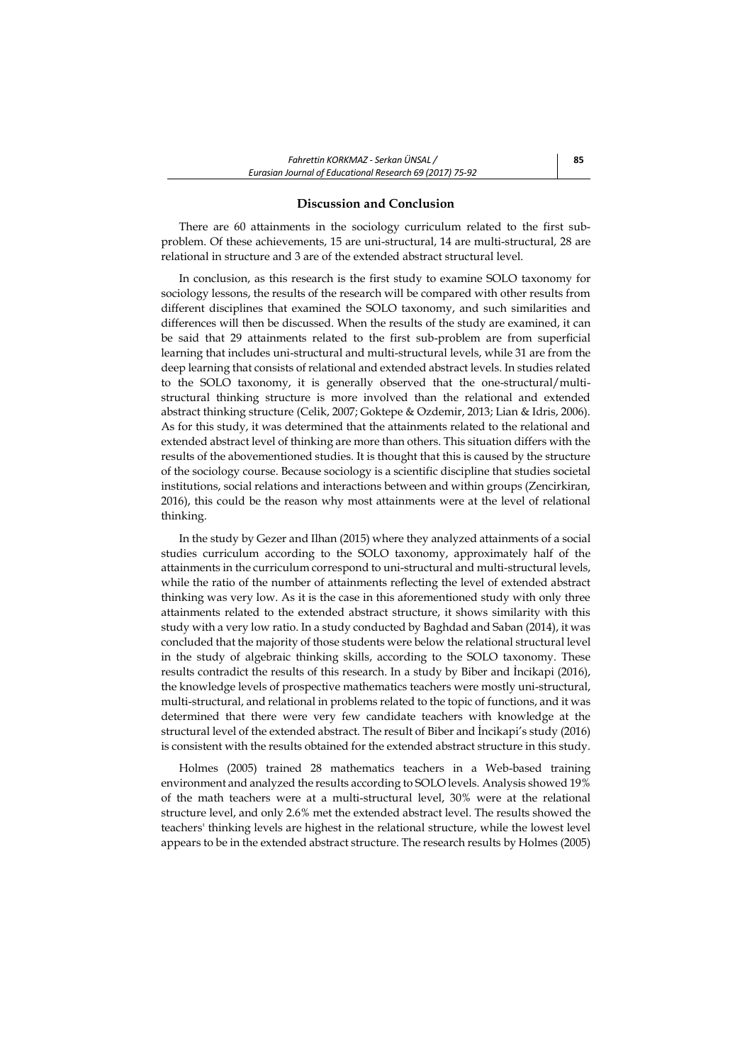#### **Discussion and Conclusion**

There are 60 attainments in the sociology curriculum related to the first subproblem. Of these achievements, 15 are uni-structural, 14 are multi-structural, 28 are relational in structure and 3 are of the extended abstract structural level.

In conclusion, as this research is the first study to examine SOLO taxonomy for sociology lessons, the results of the research will be compared with other results from different disciplines that examined the SOLO taxonomy, and such similarities and differences will then be discussed. When the results of the study are examined, it can be said that 29 attainments related to the first sub-problem are from superficial learning that includes uni-structural and multi-structural levels, while 31 are from the deep learning that consists of relational and extended abstract levels. In studies related to the SOLO taxonomy, it is generally observed that the one-structural/multistructural thinking structure is more involved than the relational and extended abstract thinking structure (Celik, 2007; Goktepe & Ozdemir, 2013; Lian & Idris, 2006). As for this study, it was determined that the attainments related to the relational and extended abstract level of thinking are more than others. This situation differs with the results of the abovementioned studies. It is thought that this is caused by the structure of the sociology course. Because sociology is a scientific discipline that studies societal institutions, social relations and interactions between and within groups (Zencirkiran, 2016), this could be the reason why most attainments were at the level of relational thinking.

In the study by Gezer and Ilhan (2015) where they analyzed attainments of a social studies curriculum according to the SOLO taxonomy, approximately half of the attainments in the curriculum correspond to uni-structural and multi-structural levels, while the ratio of the number of attainments reflecting the level of extended abstract thinking was very low. As it is the case in this aforementioned study with only three attainments related to the extended abstract structure, it shows similarity with this study with a very low ratio. In a study conducted by Baghdad and Saban (2014), it was concluded that the majority of those students were below the relational structural level in the study of algebraic thinking skills, according to the SOLO taxonomy. These results contradict the results of this research. In a study by Biber and İncikapi (2016), the knowledge levels of prospective mathematics teachers were mostly uni-structural, multi-structural, and relational in problems related to the topic of functions, and it was determined that there were very few candidate teachers with knowledge at the structural level of the extended abstract. The result of Biber and İncikapi's study (2016) is consistent with the results obtained for the extended abstract structure in this study.

Holmes (2005) trained 28 mathematics teachers in a Web-based training environment and analyzed the results according to SOLO levels. Analysis showed 19% of the math teachers were at a multi-structural level, 30% were at the relational structure level, and only 2.6% met the extended abstract level. The results showed the teachers' thinking levels are highest in the relational structure, while the lowest level appears to be in the extended abstract structure. The research results by Holmes (2005)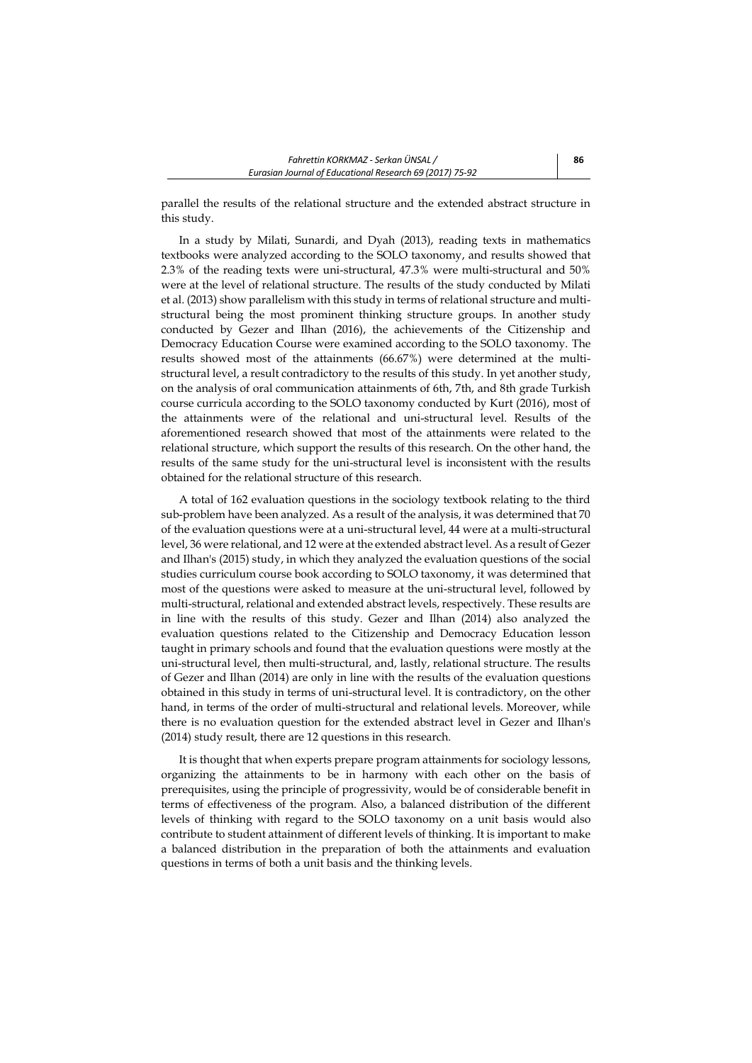parallel the results of the relational structure and the extended abstract structure in this study.

In a study by Milati, Sunardi, and Dyah (2013), reading texts in mathematics textbooks were analyzed according to the SOLO taxonomy, and results showed that 2.3% of the reading texts were uni-structural, 47.3% were multi-structural and 50% were at the level of relational structure. The results of the study conducted by Milati et al. (2013) show parallelism with this study in terms of relational structure and multistructural being the most prominent thinking structure groups. In another study conducted by Gezer and Ilhan (2016), the achievements of the Citizenship and Democracy Education Course were examined according to the SOLO taxonomy. The results showed most of the attainments (66.67%) were determined at the multistructural level, a result contradictory to the results of this study. In yet another study, on the analysis of oral communication attainments of 6th, 7th, and 8th grade Turkish course curricula according to the SOLO taxonomy conducted by Kurt (2016), most of the attainments were of the relational and uni-structural level. Results of the aforementioned research showed that most of the attainments were related to the relational structure, which support the results of this research. On the other hand, the results of the same study for the uni-structural level is inconsistent with the results obtained for the relational structure of this research.

A total of 162 evaluation questions in the sociology textbook relating to the third sub-problem have been analyzed. As a result of the analysis, it was determined that 70 of the evaluation questions were at a uni-structural level, 44 were at a multi-structural level, 36 were relational, and 12 were at the extended abstract level. As a result of Gezer and Ilhan's (2015) study, in which they analyzed the evaluation questions of the social studies curriculum course book according to SOLO taxonomy, it was determined that most of the questions were asked to measure at the uni-structural level, followed by multi-structural, relational and extended abstract levels, respectively. These results are in line with the results of this study. Gezer and Ilhan (2014) also analyzed the evaluation questions related to the Citizenship and Democracy Education lesson taught in primary schools and found that the evaluation questions were mostly at the uni-structural level, then multi-structural, and, lastly, relational structure. The results of Gezer and Ilhan (2014) are only in line with the results of the evaluation questions obtained in this study in terms of uni-structural level. It is contradictory, on the other hand, in terms of the order of multi-structural and relational levels. Moreover, while there is no evaluation question for the extended abstract level in Gezer and Ilhan's (2014) study result, there are 12 questions in this research.

It is thought that when experts prepare program attainments for sociology lessons, organizing the attainments to be in harmony with each other on the basis of prerequisites, using the principle of progressivity, would be of considerable benefit in terms of effectiveness of the program. Also, a balanced distribution of the different levels of thinking with regard to the SOLO taxonomy on a unit basis would also contribute to student attainment of different levels of thinking. It is important to make a balanced distribution in the preparation of both the attainments and evaluation questions in terms of both a unit basis and the thinking levels.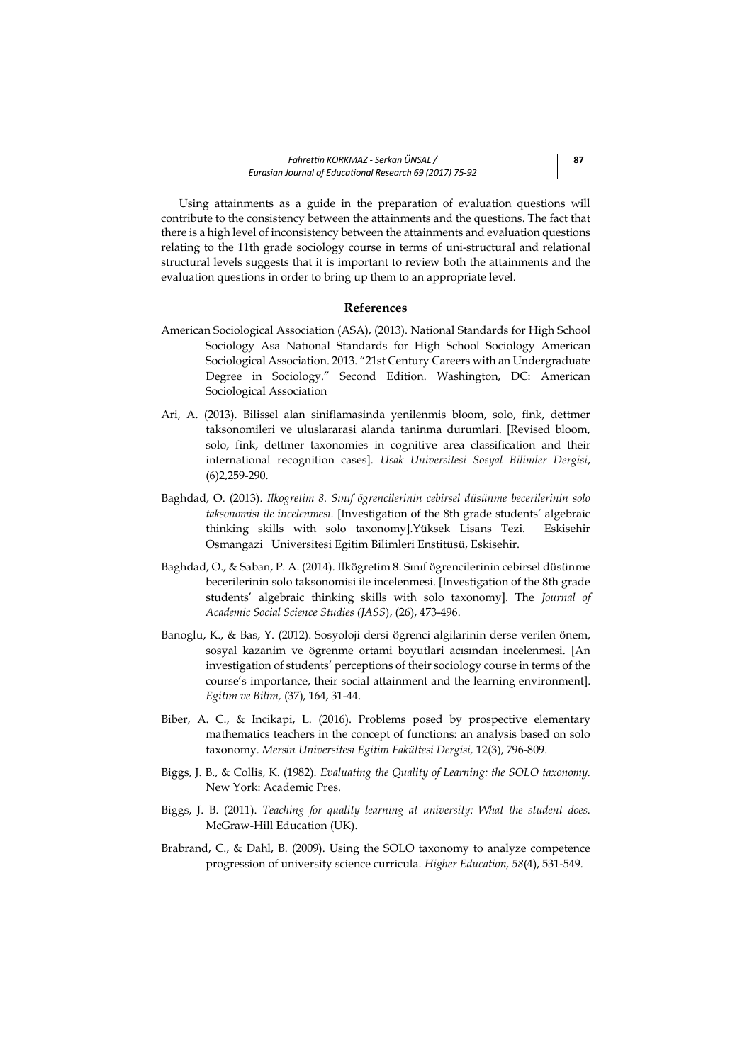Using attainments as a guide in the preparation of evaluation questions will contribute to the consistency between the attainments and the questions. The fact that there is a high level of inconsistency between the attainments and evaluation questions relating to the 11th grade sociology course in terms of uni-structural and relational structural levels suggests that it is important to review both the attainments and the evaluation questions in order to bring up them to an appropriate level.

#### **References**

- American Sociological Association (ASA), (2013). National Standards for High School Sociology Asa Natıonal Standards for High School Sociology American Sociological Association. 2013. "21st Century Careers with an Undergraduate Degree in Sociology." Second Edition. Washington, DC: American Sociological Association
- Ari, A. (2013). Bilissel alan siniflamasinda yenilenmis bloom, solo, fink, dettmer taksonomileri ve uluslararasi alanda taninma durumlari. [Revised bloom, solo, fink, dettmer taxonomies in cognitive area classification and their international recognition cases]. *Usak Universitesi Sosyal Bilimler Dergisi*, (6)2,259-290.
- Baghdad, O. (2013). *Ilkogretim 8. Sınıf ögrencilerinin cebirsel düsünme becerilerinin solo taksonomisi ile incelenmesi.* [Investigation of the 8th grade students' algebraic thinking skills with solo taxonomy].Yüksek Lisans Tezi. Eskisehir Osmangazi Universitesi Egitim Bilimleri Enstitüsü, Eskisehir.
- Baghdad, O., & Saban, P. A. (2014). Ilkögretim 8. Sınıf ögrencilerinin cebirsel düsünme becerilerinin solo taksonomisi ile incelenmesi. [Investigation of the 8th grade students' algebraic thinking skills with solo taxonomy]. The *Journal of Academic Social Science Studies (JASS*), (26), 473-496.
- Banoglu, K., & Bas, Y. (2012). Sosyoloji dersi ögrenci algilarinin derse verilen önem, sosyal kazanim ve ögrenme ortami boyutlari acısından incelenmesi. [An investigation of students' perceptions of their sociology course in terms of the course's importance, their social attainment and the learning environment]. *Egitim ve Bilim,* (37), 164, 31-44.
- Biber, A. C., & Incikapi, L. (2016). Problems posed by prospective elementary mathematics teachers in the concept of functions: an analysis based on solo taxonomy. *Mersin Universitesi Egitim Fakültesi Dergisi,* 12(3), 796-809.
- Biggs, J. B., & Collis, K. (1982). *Evaluating the Quality of Learning: the SOLO taxonomy.*  New York: Academic Pres.
- Biggs, J. B. (2011). *Teaching for quality learning at university: What the student does.* McGraw-Hill Education (UK).
- Brabrand, C., & Dahl, B. (2009). Using the SOLO taxonomy to analyze competence progression of university science curricula. *Higher Education, 58*(4), 531-549.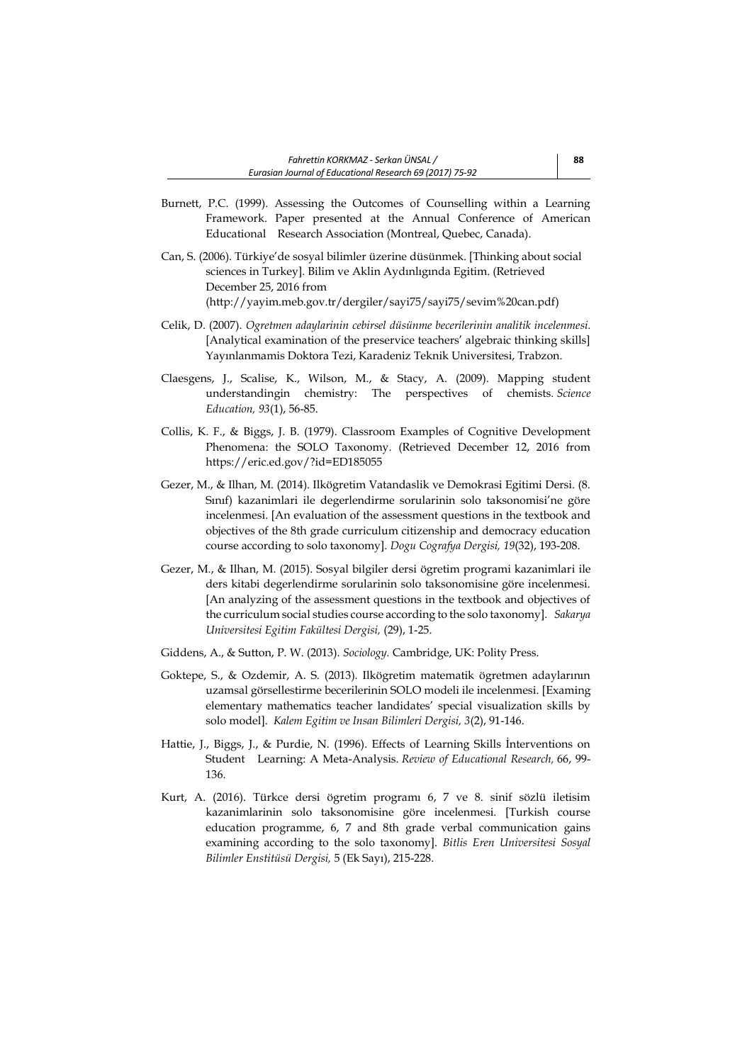- Burnett, P.C. (1999). Assessing the Outcomes of Counselling within a Learning Framework. Paper presented at the Annual Conference of American Educational Research Association (Montreal, Quebec, Canada).
- Can, S. (2006). Türkiye'de sosyal bilimler üzerine düsünmek. [Thinking about social sciences in Turkey]. Bilim ve Aklin Aydınlıgında Egitim. (Retrieved December 25, 2016 from [\(http://yayim.meb.gov.tr/dergiler/sayi75/sayi75/sevim%20can.pdf\)](http://yayim.meb.gov.tr/dergiler/sayi75/sayi75/sevim%20can.pdf)
- Celik, D. (2007). *Ogretmen adaylarinin cebirsel düsünme becerilerinin analitik incelenmesi.* [Analytical examination of the preservice teachers' algebraic thinking skills] Yayınlanmamis Doktora Tezi, Karadeniz Teknik Universitesi, Trabzon.
- Claesgens, J., Scalise, K., Wilson, M., & Stacy, A. (2009). Mapping student understandingin chemistry: The perspectives of chemists. *Science Education, 93*(1), 56-85.
- Collis, K. F., & Biggs, J. B. (1979). Classroom Examples of Cognitive Development Phenomena: the SOLO Taxonomy. (Retrieved December 12, 2016 from <https://eric.ed.gov/?id=ED185055>
- Gezer, M., & Ilhan, M. (2014). Ilkögretim Vatandaslik ve Demokrasi Egitimi Dersi. (8. Sınıf) kazanimlari ile degerlendirme sorularinin solo taksonomisi'ne göre incelenmesi. [An evaluation of the assessment questions in the textbook and objectives of the 8th grade curriculum citizenship and democracy education course according to solo taxonomy]. *Dogu Cografya Dergisi, 19*(32), 193-208.
- Gezer, M., & Ilhan, M. (2015). Sosyal bilgiler dersi ögretim programi kazanimlari ile ders kitabi degerlendirme sorularinin solo taksonomisine göre incelenmesi. [An analyzing of the assessment questions in the textbook and objectives of the curriculum social studies course according to the solo taxonomy]. *Sakarya Universitesi Egitim Fakültesi Dergisi,* (29), 1-25.
- Giddens, A., & Sutton, P. W. (2013). *Sociology.* Cambridge, UK: Polity Press.
- Goktepe, S., & Ozdemir, A. S. (2013). Ilkögretim matematik ögretmen adaylarının uzamsal görsellestirme becerilerinin SOLO modeli ile incelenmesi. [Examing elementary mathematics teacher landidates' special visualization skills by solo model]. *Kalem Egitim ve Insan Bilimleri Dergisi, 3*(2), 91-146.
- Hattie, J., Biggs, J., & Purdie, N. (1996). Effects of Learning Skills İnterventions on Student Learning: A Meta-Analysis. *Review of Educational Research,* 66, 99- 136.
- Kurt, A. (2016). Türkce dersi ögretim programı 6, 7 ve 8. sinif sözlü iletisim kazanimlarinin solo taksonomisine göre incelenmesi. [Turkish course education programme, 6, 7 and 8th grade verbal communication gains examining according to the solo taxonomy]. *Bitlis Eren Universitesi Sosyal Bilimler Enstitüsü Dergisi,* 5 (Ek Sayı), 215-228.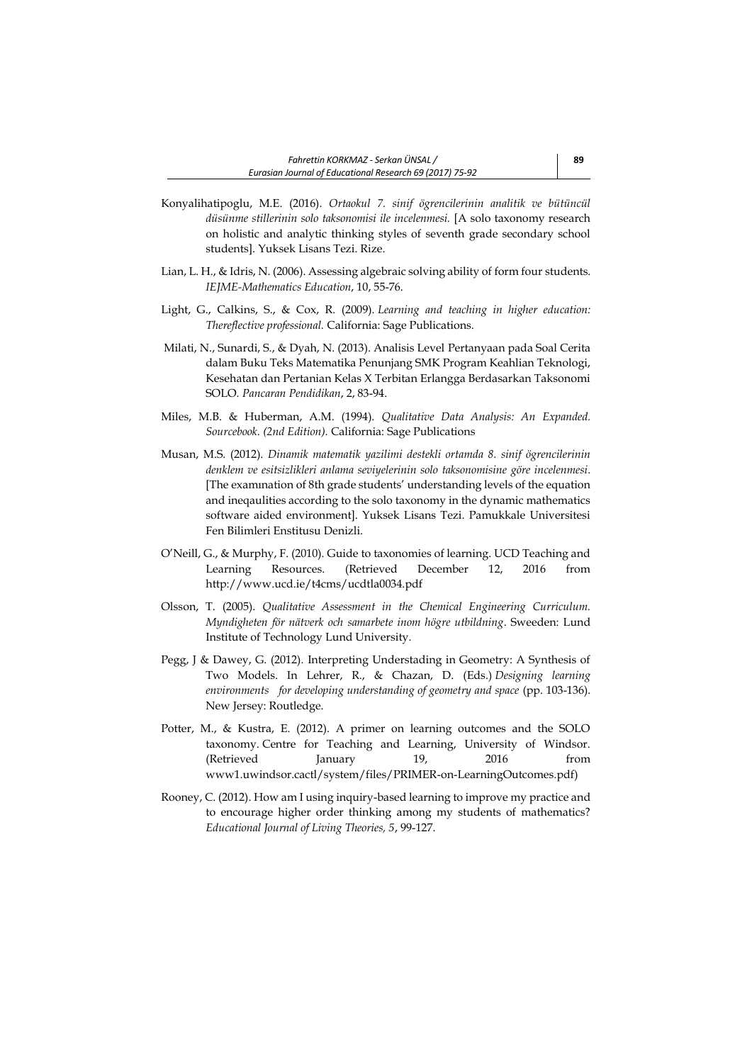- Konyalihatipoglu, M.E. (2016). *Ortaokul 7. sinif ögrencilerinin analitik ve bütüncül düsünme stillerinin solo taksonomisi ile incelenmesi.* [A solo taxonomy research on holistic and analytic thinking styles of seventh grade secondary school students]. Yuksek Lisans Tezi. Rize.
- Lian, L. H., & Idris, N. (2006). Assessing algebraic solving ability of form four students. *IEJME-Mathematics Education*, 10, 55-76.
- Light, G., Calkins, S., & Cox, R. (2009). *Learning and teaching in higher education: Thereflective professional.* California: Sage Publications.
- Milati, N., Sunardi, S., & Dyah, N. (2013). Analisis Level Pertanyaan pada Soal Cerita dalam Buku Teks Matematika Penunjang SMK Program Keahlian Teknologi, Kesehatan dan Pertanian Kelas X Terbitan Erlangga Berdasarkan Taksonomi SOLO*. Pancaran Pendidikan*, 2, 83-94.
- Miles, M.B. & Huberman, A.M. (1994). *Qualitative Data Analysis: An Expanded. Sourcebook. (2nd Edition).* California: Sage Publications
- Musan, M.S. (2012). *Dinamik matematik yazilimi destekli ortamda 8. sinif ögrencilerinin denklem ve esitsizlikleri anlama seviyelerinin solo taksonomisine göre incelenmesi*. [The examınation of 8th grade students' understanding levels of the equation and ineqaulities according to the solo taxonomy in the dynamic mathematics software aided environment]. Yuksek Lisans Tezi. Pamukkale Universitesi Fen Bilimleri Enstitusu Denizli.
- O'Neill, G., & Murphy, F. (2010). Guide to taxonomies of learning. UCD Teaching and Learning Resources. (Retrieved December 12, 2016 from <http://www.ucd.ie/t4cms/ucdtla0034.pdf>
- Olsson, T. (2005). *Qualitative Assessment in the Chemical Engineering Curriculum. Myndigheten för nätverk och samarbete inom högre utbildning*. Sweeden: Lund Institute of Technology Lund University.
- Pegg, J & Dawey, G. (2012). Interpreting Understading in Geometry: A Synthesis of Two Models. In Lehrer, R., & Chazan, D. (Eds.) *Designing learning environments for developing understanding of geometry and space* (pp. 103-136). New Jersey: Routledge.
- Potter, M., & Kustra, E. (2012). A primer on learning outcomes and the SOLO taxonomy. Centre for Teaching and Learning, University of Windsor. (Retrieved January 19, 2016 from www1.uwindsor.cactl/system/files/PRIMER-on-LearningOutcomes.pdf)
- Rooney, C. (2012). How am I using inquiry-based learning to improve my practice and to encourage higher order thinking among my students of mathematics? *Educational Journal of Living Theories, 5*, 99-127.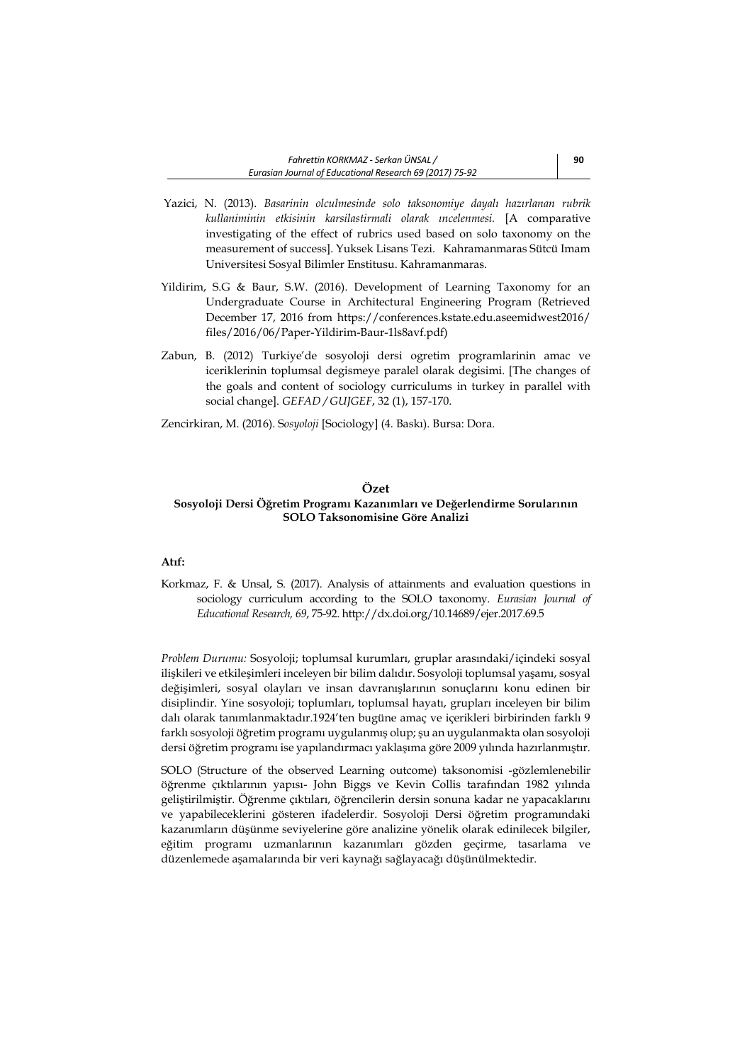- Yazici, N. (2013). *Basarinin olculmesinde solo taksonomiye dayalı hazırlanan rubrik kullaniminin etkisinin karsilastirmali olarak ıncelenmesi.* [A comparative investigating of the effect of rubrics used based on solo taxonomy on the measurement of success]. Yuksek Lisans Tezi. Kahramanmaras Sütcü Imam Universitesi Sosyal Bilimler Enstitusu. Kahramanmaras.
- Yildirim, S.G & Baur, S.W. (2016). Development of Learning Taxonomy for an Undergraduate Course in Architectural Engineering Program (Retrieved December 17, 2016 from [https://conferences.kstate.edu.aseemidwest2016/](https://conferences.kstate.edu.aseemidwest2016/%20files/2016/06/Paper-Yildirim-Baur-)  [files/2016/06/Paper-Yildirim-Baur-1](https://conferences.kstate.edu.aseemidwest2016/%20files/2016/06/Paper-Yildirim-Baur-)ls8avf.pdf)
- Zabun, B. (2012) Turkiye'de sosyoloji dersi ogretim programlarinin amac ve iceriklerinin toplumsal degismeye paralel olarak degisimi. [The changes of the goals and content of sociology curriculums in turkey in parallel with social change]. *GEFAD / GUJGEF*, 32 (1), 157-170.
- Zencirkiran, M. (2016). S*osyoloji* [Sociology] (4. Baskı). Bursa: Dora.

#### **Özet**

# **Sosyoloji Dersi Öğretim Programı Kazanımları ve Değerlendirme Sorularının SOLO Taksonomisine Göre Analizi**

## **Atıf:**

Korkmaz, F. & Unsal, S. (2017). Analysis of attainments and evaluation questions in sociology curriculum according to the SOLO taxonomy. *Eurasian Journal of Educational Research, 69*, 75-92. http://dx.doi.org/10.14689/ejer.2017.69.5

*Problem Durumu:* Sosyoloji; toplumsal kurumları, gruplar arasındaki/içindeki sosyal ilişkileri ve etkileşimleri inceleyen bir bilim dalıdır. Sosyoloji toplumsal yaşamı, sosyal değişimleri, sosyal olayları ve insan davranışlarının sonuçlarını konu edinen bir disiplindir. Yine sosyoloji; toplumları, toplumsal hayatı, grupları inceleyen bir bilim dalı olarak tanımlanmaktadır.1924'ten bugüne amaç ve içerikleri birbirinden farklı 9 farklı sosyoloji öğretim programı uygulanmış olup; şu an uygulanmakta olan sosyoloji dersi öğretim programı ise yapılandırmacı yaklaşıma göre 2009 yılında hazırlanmıştır.

SOLO (Structure of the observed Learning outcome) taksonomisi -gözlemlenebilir öğrenme çıktılarının yapısı- John Biggs ve Kevin Collis tarafından 1982 yılında geliştirilmiştir. Öğrenme çıktıları, öğrencilerin dersin sonuna kadar ne yapacaklarını ve yapabileceklerini gösteren ifadelerdir. Sosyoloji Dersi öğretim programındaki kazanımların düşünme seviyelerine göre analizine yönelik olarak edinilecek bilgiler, eğitim programı uzmanlarının kazanımları gözden geçirme, tasarlama ve düzenlemede aşamalarında bir veri kaynağı sağlayacağı düşünülmektedir.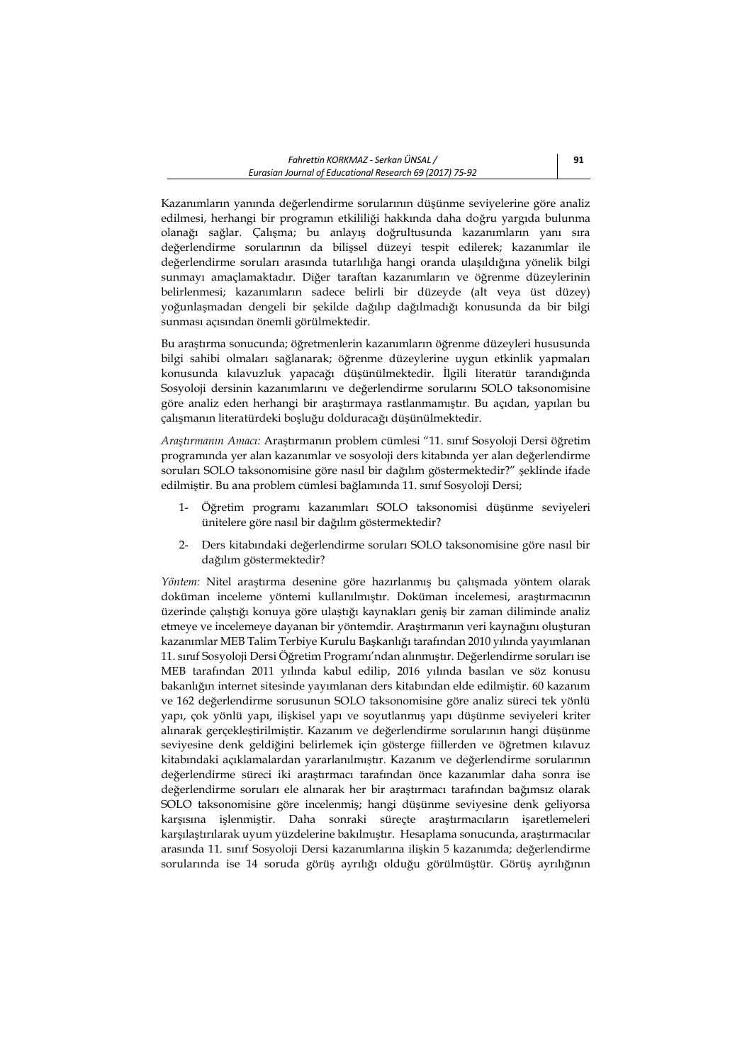Kazanımların yanında değerlendirme sorularının düşünme seviyelerine göre analiz edilmesi, herhangi bir programın etkililiği hakkında daha doğru yargıda bulunma olanağı sağlar. Çalışma; bu anlayış doğrultusunda kazanımların yanı sıra değerlendirme sorularının da bilişsel düzeyi tespit edilerek; kazanımlar ile değerlendirme soruları arasında tutarlılığa hangi oranda ulaşıldığına yönelik bilgi sunmayı amaçlamaktadır. Diğer taraftan kazanımların ve öğrenme düzeylerinin belirlenmesi; kazanımların sadece belirli bir düzeyde (alt veya üst düzey) yoğunlaşmadan dengeli bir şekilde dağılıp dağılmadığı konusunda da bir bilgi sunması açısından önemli görülmektedir.

Bu araştırma sonucunda; öğretmenlerin kazanımların öğrenme düzeyleri hususunda bilgi sahibi olmaları sağlanarak; öğrenme düzeylerine uygun etkinlik yapmaları konusunda kılavuzluk yapacağı düşünülmektedir. İlgili literatür tarandığında Sosyoloji dersinin kazanımlarını ve değerlendirme sorularını SOLO taksonomisine göre analiz eden herhangi bir araştırmaya rastlanmamıştır. Bu açıdan, yapılan bu çalışmanın literatürdeki boşluğu dolduracağı düşünülmektedir.

*Araştırmanın Amacı:* Araştırmanın problem cümlesi "11. sınıf Sosyoloji Dersi öğretim programında yer alan kazanımlar ve sosyoloji ders kitabında yer alan değerlendirme soruları SOLO taksonomisine göre nasıl bir dağılım göstermektedir?" şeklinde ifade edilmiştir. Bu ana problem cümlesi bağlamında 11. sınıf Sosyoloji Dersi;

- 1- Öğretim programı kazanımları SOLO taksonomisi düşünme seviyeleri ünitelere göre nasıl bir dağılım göstermektedir?
- 2- Ders kitabındaki değerlendirme soruları SOLO taksonomisine göre nasıl bir dağılım göstermektedir?

*Yöntem:* Nitel araştırma desenine göre hazırlanmış bu çalışmada yöntem olarak doküman inceleme yöntemi kullanılmıştır. Doküman incelemesi, araştırmacının üzerinde çalıştığı konuya göre ulaştığı kaynakları geniş bir zaman diliminde analiz etmeye ve incelemeye dayanan bir yöntemdir. Araştırmanın veri kaynağını oluşturan kazanımlar MEB Talim Terbiye Kurulu Başkanlığı tarafından 2010 yılında yayımlanan 11. sınıf Sosyoloji Dersi Öğretim Programı'ndan alınmıştır. Değerlendirme soruları ise MEB tarafından 2011 yılında kabul edilip, 2016 yılında basılan ve söz konusu bakanlığın internet sitesinde yayımlanan ders kitabından elde edilmiştir. 60 kazanım ve 162 değerlendirme sorusunun SOLO taksonomisine göre analiz süreci tek yönlü yapı, çok yönlü yapı, ilişkisel yapı ve soyutlanmış yapı düşünme seviyeleri kriter alınarak gerçekleştirilmiştir. Kazanım ve değerlendirme sorularının hangi düşünme seviyesine denk geldiğini belirlemek için gösterge fiillerden ve öğretmen kılavuz kitabındaki açıklamalardan yararlanılmıştır. Kazanım ve değerlendirme sorularının değerlendirme süreci iki araştırmacı tarafından önce kazanımlar daha sonra ise değerlendirme soruları ele alınarak her bir araştırmacı tarafından bağımsız olarak SOLO taksonomisine göre incelenmiş; hangi düşünme seviyesine denk geliyorsa karşısına işlenmiştir. Daha sonraki süreçte araştırmacıların işaretlemeleri karşılaştırılarak uyum yüzdelerine bakılmıştır. Hesaplama sonucunda, araştırmacılar arasında 11. sınıf Sosyoloji Dersi kazanımlarına ilişkin 5 kazanımda; değerlendirme sorularında ise 14 soruda görüş ayrılığı olduğu görülmüştür. Görüş ayrılığının